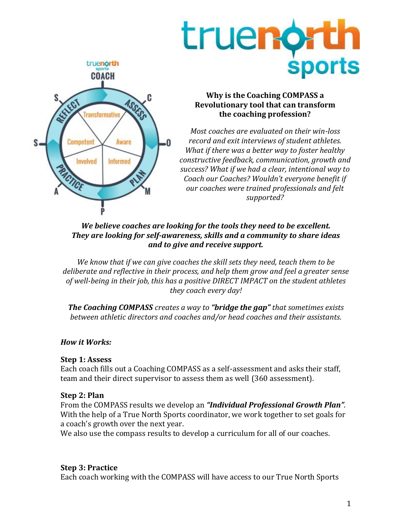



## **Why is the Coaching COMPASS a Revolutionary tool that can transform the coaching profession?**

*Most coaches are evaluated on their win-loss record and exit interviews of student athletes. What if there was a better way to foster healthy constructive feedback, communication, growth and success? What if we had a clear, intentional way to Coach our Coaches? Wouldn't everyone benefit if our coaches were trained professionals and felt supported?*

#### *We believe coaches are looking for the tools they need to be excellent. They are looking for self-awareness, skills and a community to share ideas and to give and receive support.*

*We know that if we can give coaches the skill sets they need, teach them to be deliberate and reflective in their process, and help them grow and feel a greater sense of well-being in their job, this has a positive DIRECT IMPACT on the student athletes they coach every day!*

*The Coaching COMPASS creates a way to "bridge the gap" that sometimes exists between athletic directors and coaches and/or head coaches and their assistants.*

# *How it Works:*

## **Step 1: Assess**

Each coach fills out a Coaching COMPASS as a self-assessment and asks their staff, team and their direct supervisor to assess them as well (360 assessment).

## **Step 2: Plan**

From the COMPASS results we develop an *"Individual Professional Growth Plan"*. With the help of a True North Sports coordinator, we work together to set goals for a coach's growth over the next year.

We also use the compass results to develop a curriculum for all of our coaches.

# **Step 3: Practice**

Each coach working with the COMPASS will have access to our True North Sports